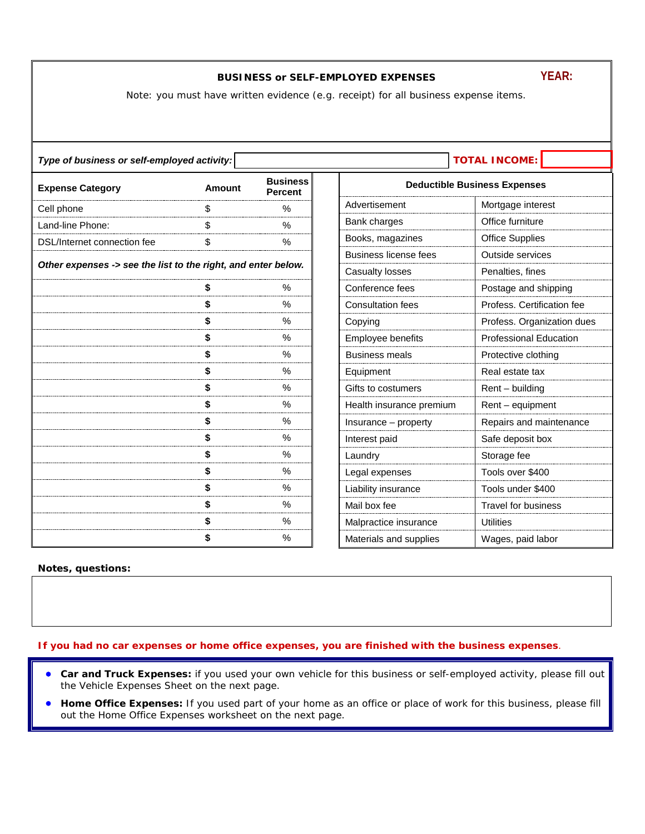## **BUSINESS or SELF-EMPLOYED EXPENSES**

Note: you must have written evidence (e.g. receipt) for all business expense items.

<span id="page-0-0"></span>

| <b>TOTAL INCOME:</b><br>Type of business or self-employed activity: |                                                    |               |                        |                                     |                               |
|---------------------------------------------------------------------|----------------------------------------------------|---------------|------------------------|-------------------------------------|-------------------------------|
| <b>Expense Category</b>                                             | <b>Business</b><br><b>Amount</b><br><b>Percent</b> |               |                        | <b>Deductible Business Expenses</b> |                               |
| Cell phone                                                          | \$                                                 | $\frac{0}{0}$ |                        | Advertisement                       | Mortgage interest             |
| Land-line Phone:                                                    | \$                                                 | $\frac{0}{0}$ |                        | Bank charges                        | Office furniture              |
| DSL/Internet connection fee                                         | \$                                                 | $\%$          |                        | Books, magazines                    | <b>Office Supplies</b>        |
|                                                                     |                                                    |               |                        | Business license fees               | Outside services              |
| Other expenses -> see the list to the right, and enter below.       |                                                    |               | <b>Casualty losses</b> | Penalties, fines                    |                               |
|                                                                     | S                                                  | $\%$          |                        | Conference fees                     | Postage and shipping          |
|                                                                     | \$                                                 | $\frac{0}{0}$ |                        | <b>Consultation fees</b>            | Profess. Certification fee    |
|                                                                     | \$                                                 | $\%$          |                        | Copying                             | Profess. Organization dues    |
|                                                                     | \$                                                 | $\frac{0}{0}$ |                        | Employee benefits                   | <b>Professional Education</b> |
|                                                                     | \$                                                 | $\frac{0}{0}$ |                        | <b>Business meals</b>               | Protective clothing           |
|                                                                     | \$                                                 | $\%$          |                        | Equipment                           | Real estate tax               |
|                                                                     | \$                                                 | %             |                        | Gifts to costumers                  | $Rent - building$             |
|                                                                     | \$                                                 | $\%$          |                        | Health insurance premium            | Rent - equipment              |
|                                                                     | \$                                                 | $\frac{0}{0}$ |                        | Insurance - property                | Repairs and maintenance       |
|                                                                     | \$                                                 | $\%$          |                        | Interest paid                       | Safe deposit box              |
|                                                                     | \$                                                 | $\frac{0}{0}$ |                        | Laundry                             | Storage fee                   |
|                                                                     | \$                                                 | %             |                        | Legal expenses                      | Tools over \$400              |
|                                                                     | \$                                                 | %             |                        | Liability insurance                 | Tools under \$400             |
|                                                                     |                                                    | $\%$          |                        | Mail box fee                        | <b>Travel for business</b>    |
|                                                                     |                                                    | %             |                        | Malpractice insurance               | <b>Utilities</b>              |
|                                                                     |                                                    | $\%$          |                        | Materials and supplies              | Wages, paid labor             |

## **Notes, questions:**

**If you had no car expenses or home office expenses, you are finished with the business expenses**.

- **Car and Truck Expenses:** if you used your own vehicle for this business or self-employed activity, please fill out the Vehicle Expenses Sheet on the next page.
- **Home Office Expenses:** If you used part of your home as an office or place of work for this business, please fill out the Home Office Expenses worksheet on the next page.

## **YEAR:**